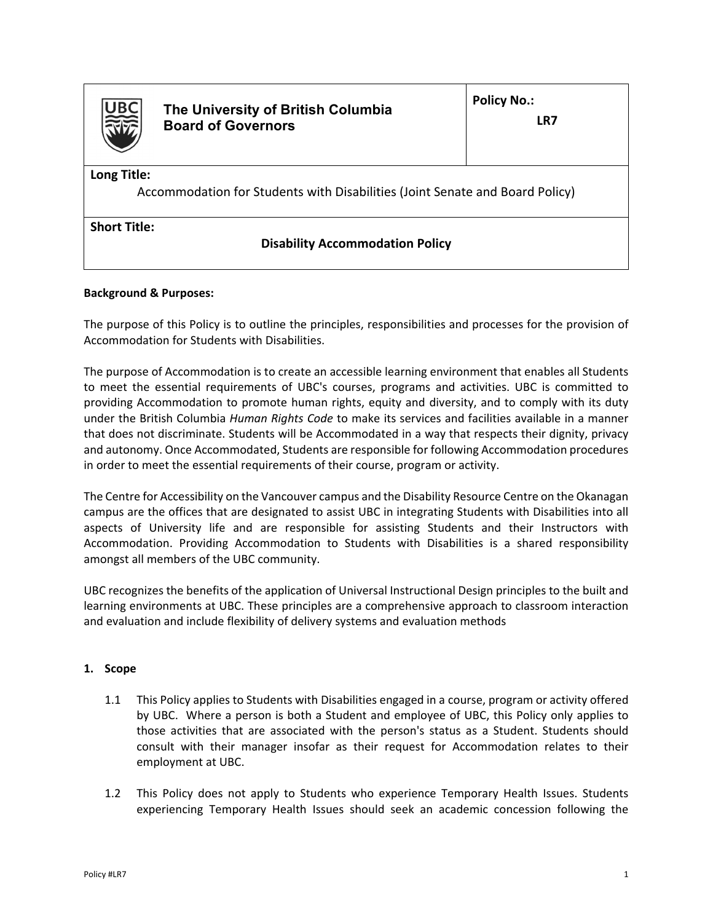

**The University of British Columbia Board of Governors** 

**LR7** 

**Long Title:** 

Accommodation for Students with Disabilities (Joint Senate and Board Policy)

**Short Title:** 

# **Disability Accommodation Policy**

# **Background & Purposes:**

The purpose of this Policy is to outline the principles, responsibilities and processes for the provision of Accommodation for Students with Disabilities.

The purpose of Accommodation is to create an accessible learning environment that enables all Students to meet the essential requirements of UBC's courses, programs and activities. UBC is committed to providing Accommodation to promote human rights, equity and diversity, and to comply with its duty under the British Columbia *Human Rights Code* to make its services and facilities available in a manner that does not discriminate. Students will be Accommodated in a way that respects their dignity, privacy and autonomy. Once Accommodated, Students are responsible for following Accommodation procedures in order to meet the essential requirements of their course, program or activity.

The Centre for Accessibility on the Vancouver campus and the Disability Resource Centre on the Okanagan campus are the offices that are designated to assist UBC in integrating Students with Disabilities into all aspects of University life and are responsible for assisting Students and their Instructors with Accommodation. Providing Accommodation to Students with Disabilities is a shared responsibility amongst all members of the UBC community.

UBC recognizes the benefits of the application of Universal Instructional Design principles to the built and learning environments at UBC. These principles are a comprehensive approach to classroom interaction and evaluation and include flexibility of delivery systems and evaluation methods

## **1. Scope**

- 1.1 This Policy applies to Students with Disabilities engaged in a course, program or activity offered by UBC. Where a person is both a Student and employee of UBC, this Policy only applies to those activities that are associated with the person's status as a Student. Students should consult with their manager insofar as their request for Accommodation relates to their employment at UBC.
- 1.2 This Policy does not apply to Students who experience Temporary Health Issues. Students experiencing Temporary Health Issues should seek an academic concession following the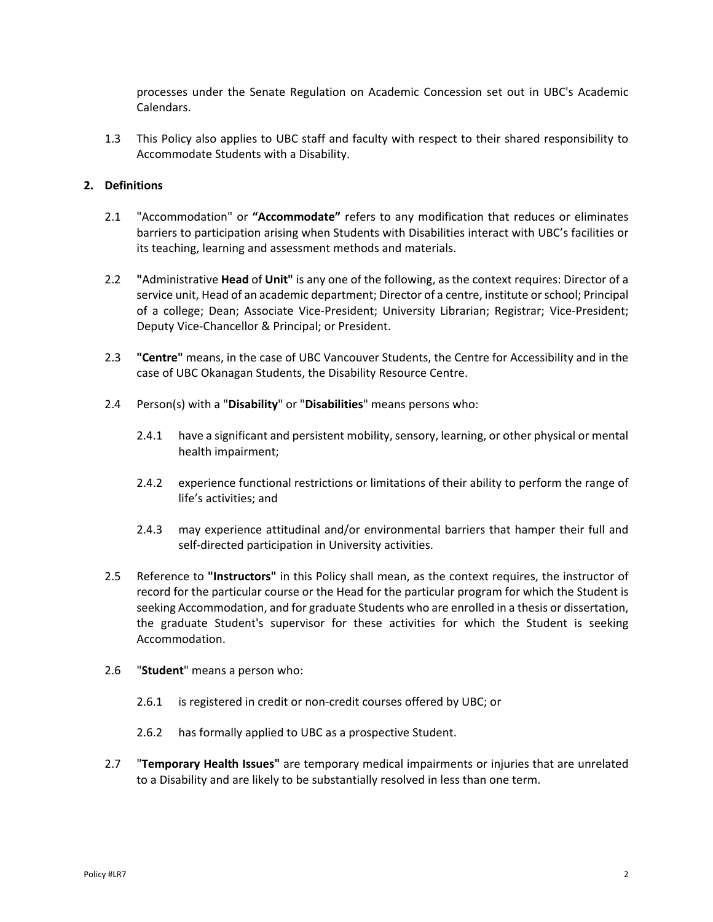processes under the Senate Regulation on Academic Concession set out in UBC's Academic Calendars.

1.3 This Policy also applies to UBC staff and faculty with respect to their shared responsibility to Accommodate Students with a Disability.

## **2. Definitions**

- 2.1 "Accommodation" or **"Accommodate"** refers to any modification that reduces or eliminates barriers to participation arising when Students with Disabilities interact with UBC's facilities or its teaching, learning and assessment methods and materials.
- 2.2 **"**Administrative **Head** of **Unit"** is any one of the following, as the context requires: Director of a service unit, Head of an academic department; Director of a centre, institute or school; Principal of a college; Dean; Associate Vice-President; University Librarian; Registrar; Vice-President; Deputy Vice‐Chancellor & Principal; or President.
- 2.3 **"Centre"** means, in the case of UBC Vancouver Students, the Centre for Accessibility and in the case of UBC Okanagan Students, the Disability Resource Centre.
- 2.4 Person(s) with a "**Disability**" or "**Disabilities**" means persons who:
	- 2.4.1 have a significant and persistent mobility, sensory, learning, or other physical or mental health impairment;
	- 2.4.2 experience functional restrictions or limitations of their ability to perform the range of life's activities; and
	- 2.4.3 may experience attitudinal and/or environmental barriers that hamper their full and self-directed participation in University activities.
- 2.5 Reference to **"Instructors"** in this Policy shall mean, as the context requires, the instructor of record for the particular course or the Head for the particular program for which the Student is seeking Accommodation, and for graduate Students who are enrolled in a thesis or dissertation, the graduate Student's supervisor for these activities for which the Student is seeking Accommodation.
- 2.6 "**Student**" means a person who:
	- 2.6.1 is registered in credit or non-credit courses offered by UBC; or
	- 2.6.2 has formally applied to UBC as a prospective Student.
- 2.7 "**Temporary Health Issues"** are temporary medical impairments or injuries that are unrelated to a Disability and are likely to be substantially resolved in less than one term.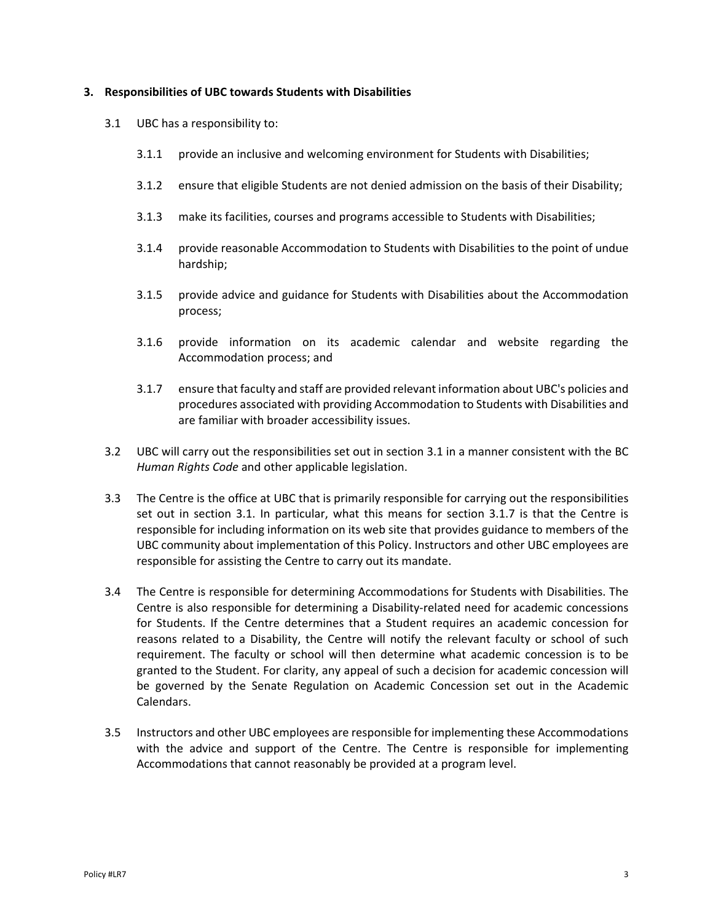#### **3. Responsibilities of UBC towards Students with Disabilities**

- 3.1 UBC has a responsibility to:
	- 3.1.1 provide an inclusive and welcoming environment for Students with Disabilities;
	- 3.1.2 ensure that eligible Students are not denied admission on the basis of their Disability;
	- 3.1.3 make its facilities, courses and programs accessible to Students with Disabilities;
	- 3.1.4 provide reasonable Accommodation to Students with Disabilities to the point of undue hardship;
	- 3.1.5 provide advice and guidance for Students with Disabilities about the Accommodation process;
	- 3.1.6 provide information on its academic calendar and website regarding the Accommodation process; and
	- 3.1.7 ensure that faculty and staff are provided relevant information about UBC's policies and procedures associated with providing Accommodation to Students with Disabilities and are familiar with broader accessibility issues.
- 3.2 UBC will carry out the responsibilities set out in section 3.1 in a manner consistent with the BC *Human Rights Code* and other applicable legislation.
- 3.3 The Centre is the office at UBC that is primarily responsible for carrying out the responsibilities set out in section 3.1. In particular, what this means for section 3.1.7 is that the Centre is responsible for including information on its web site that provides guidance to members of the UBC community about implementation of this Policy. Instructors and other UBC employees are responsible for assisting the Centre to carry out its mandate.
- 3.4 The Centre is responsible for determining Accommodations for Students with Disabilities. The Centre is also responsible for determining a Disability‐related need for academic concessions for Students. If the Centre determines that a Student requires an academic concession for reasons related to a Disability, the Centre will notify the relevant faculty or school of such requirement. The faculty or school will then determine what academic concession is to be granted to the Student. For clarity, any appeal of such a decision for academic concession will be governed by the Senate Regulation on Academic Concession set out in the Academic Calendars.
- 3.5 Instructors and other UBC employees are responsible for implementing these Accommodations with the advice and support of the Centre. The Centre is responsible for implementing Accommodations that cannot reasonably be provided at a program level.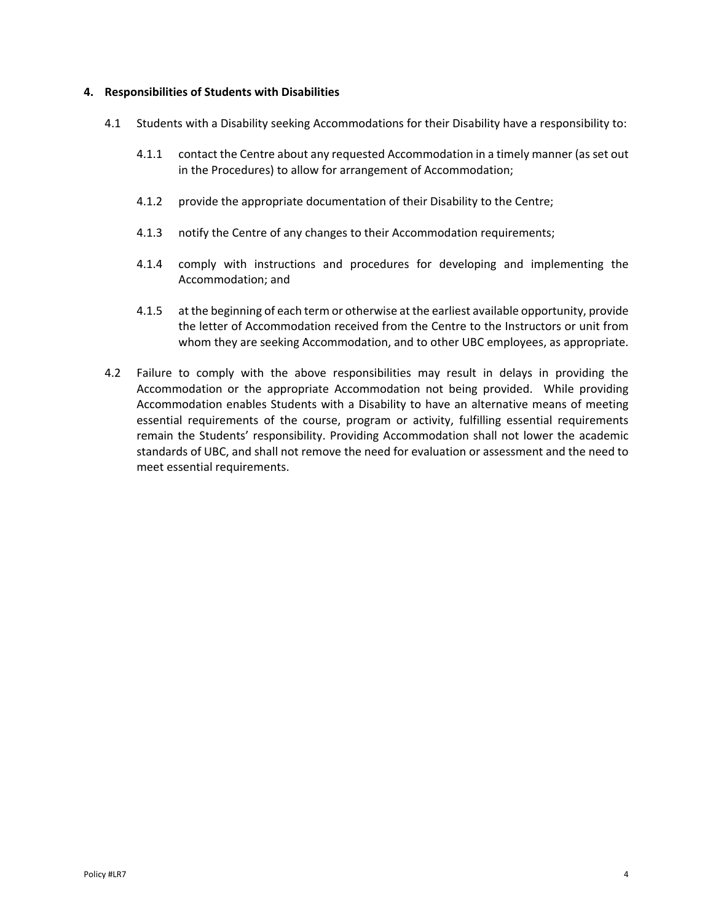#### **4. Responsibilities of Students with Disabilities**

- 4.1 Students with a Disability seeking Accommodations for their Disability have a responsibility to:
	- 4.1.1 contact the Centre about any requested Accommodation in a timely manner (as set out in the Procedures) to allow for arrangement of Accommodation;
	- 4.1.2 provide the appropriate documentation of their Disability to the Centre;
	- 4.1.3 notify the Centre of any changes to their Accommodation requirements;
	- 4.1.4 comply with instructions and procedures for developing and implementing the Accommodation; and
	- 4.1.5 at the beginning of each term or otherwise at the earliest available opportunity, provide the letter of Accommodation received from the Centre to the Instructors or unit from whom they are seeking Accommodation, and to other UBC employees, as appropriate.
- 4.2 Failure to comply with the above responsibilities may result in delays in providing the Accommodation or the appropriate Accommodation not being provided. While providing Accommodation enables Students with a Disability to have an alternative means of meeting essential requirements of the course, program or activity, fulfilling essential requirements remain the Students' responsibility. Providing Accommodation shall not lower the academic standards of UBC, and shall not remove the need for evaluation or assessment and the need to meet essential requirements.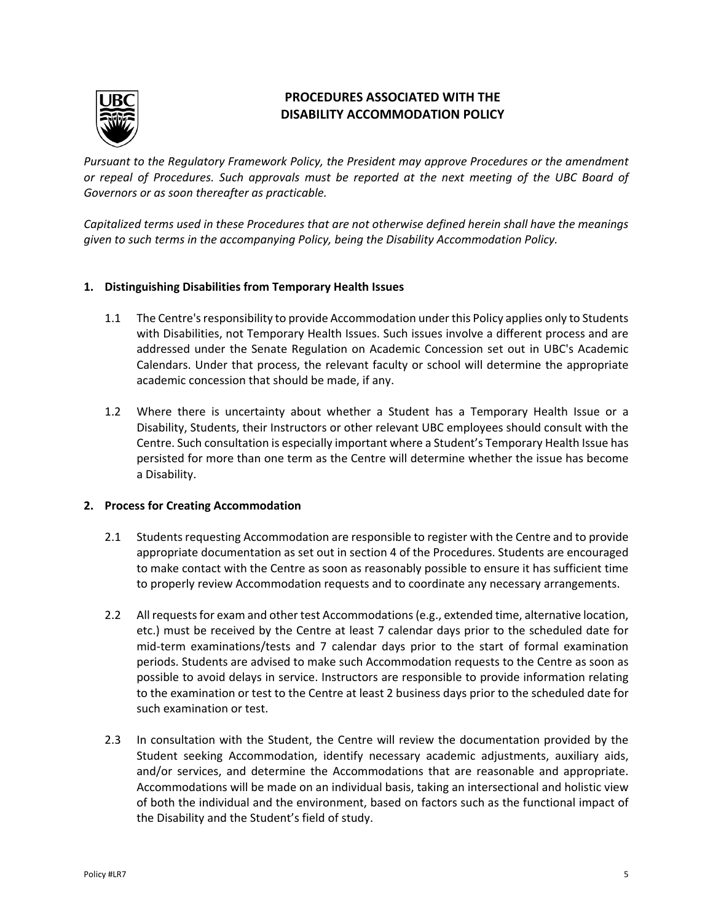

# **PROCEDURES ASSOCIATED WITH THE DISABILITY ACCOMMODATION POLICY**

*Pursuant to the Regulatory Framework Policy, the President may approve Procedures or the amendment or repeal of Procedures. Such approvals must be reported at the next meeting of the UBC Board of Governors or as soon thereafter as practicable.* 

*Capitalized terms used in these Procedures that are not otherwise defined herein shall have the meanings given to such terms in the accompanying Policy, being the Disability Accommodation Policy.* 

# **1. Distinguishing Disabilities from Temporary Health Issues**

- 1.1 The Centre's responsibility to provide Accommodation under this Policy applies only to Students with Disabilities, not Temporary Health Issues. Such issues involve a different process and are addressed under the Senate Regulation on Academic Concession set out in UBC's Academic Calendars. Under that process, the relevant faculty or school will determine the appropriate academic concession that should be made, if any.
- 1.2 Where there is uncertainty about whether a Student has a Temporary Health Issue or a Disability, Students, their Instructors or other relevant UBC employees should consult with the Centre. Such consultation is especially important where a Student's Temporary Health Issue has persisted for more than one term as the Centre will determine whether the issue has become a Disability.

## **2. Process for Creating Accommodation**

- 2.1 Students requesting Accommodation are responsible to register with the Centre and to provide appropriate documentation as set out in section 4 of the Procedures. Students are encouraged to make contact with the Centre as soon as reasonably possible to ensure it has sufficient time to properly review Accommodation requests and to coordinate any necessary arrangements.
- 2.2 All requests for exam and other test Accommodations (e.g., extended time, alternative location, etc.) must be received by the Centre at least 7 calendar days prior to the scheduled date for mid-term examinations/tests and 7 calendar days prior to the start of formal examination periods. Students are advised to make such Accommodation requests to the Centre as soon as possible to avoid delays in service. Instructors are responsible to provide information relating to the examination or test to the Centre at least 2 business days prior to the scheduled date for such examination or test.
- 2.3 In consultation with the Student, the Centre will review the documentation provided by the Student seeking Accommodation, identify necessary academic adjustments, auxiliary aids, and/or services, and determine the Accommodations that are reasonable and appropriate. Accommodations will be made on an individual basis, taking an intersectional and holistic view of both the individual and the environment, based on factors such as the functional impact of the Disability and the Student's field of study.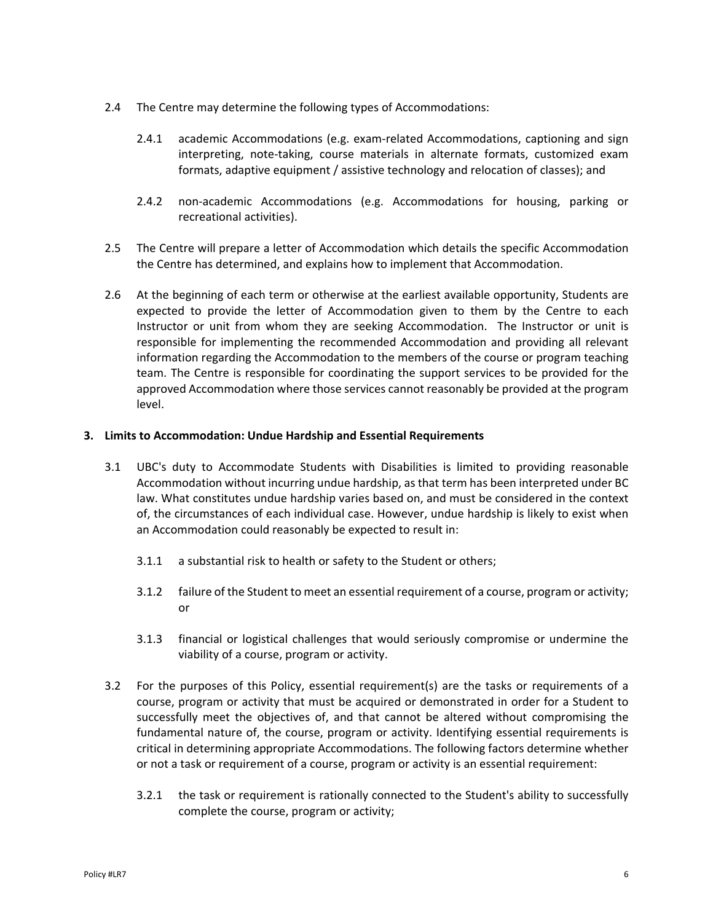- 2.4 The Centre may determine the following types of Accommodations:
	- 2.4.1 academic Accommodations (e.g. exam-related Accommodations, captioning and sign interpreting, note-taking, course materials in alternate formats, customized exam formats, adaptive equipment / assistive technology and relocation of classes); and
	- 2.4.2 non-academic Accommodations (e.g. Accommodations for housing, parking or recreational activities).
- 2.5 The Centre will prepare a letter of Accommodation which details the specific Accommodation the Centre has determined, and explains how to implement that Accommodation.
- 2.6 At the beginning of each term or otherwise at the earliest available opportunity, Students are expected to provide the letter of Accommodation given to them by the Centre to each Instructor or unit from whom they are seeking Accommodation. The Instructor or unit is responsible for implementing the recommended Accommodation and providing all relevant information regarding the Accommodation to the members of the course or program teaching team. The Centre is responsible for coordinating the support services to be provided for the approved Accommodation where those services cannot reasonably be provided at the program level.

### **3. Limits to Accommodation: Undue Hardship and Essential Requirements**

- 3.1 UBC's duty to Accommodate Students with Disabilities is limited to providing reasonable Accommodation without incurring undue hardship, as that term has been interpreted under BC law. What constitutes undue hardship varies based on, and must be considered in the context of, the circumstances of each individual case. However, undue hardship is likely to exist when an Accommodation could reasonably be expected to result in:
	- 3.1.1 a substantial risk to health or safety to the Student or others;
	- 3.1.2 failure of the Student to meet an essential requirement of a course, program or activity; or
	- 3.1.3 financial or logistical challenges that would seriously compromise or undermine the viability of a course, program or activity.
- 3.2 For the purposes of this Policy, essential requirement(s) are the tasks or requirements of a course, program or activity that must be acquired or demonstrated in order for a Student to successfully meet the objectives of, and that cannot be altered without compromising the fundamental nature of, the course, program or activity. Identifying essential requirements is critical in determining appropriate Accommodations. The following factors determine whether or not a task or requirement of a course, program or activity is an essential requirement:
	- 3.2.1 the task or requirement is rationally connected to the Student's ability to successfully complete the course, program or activity;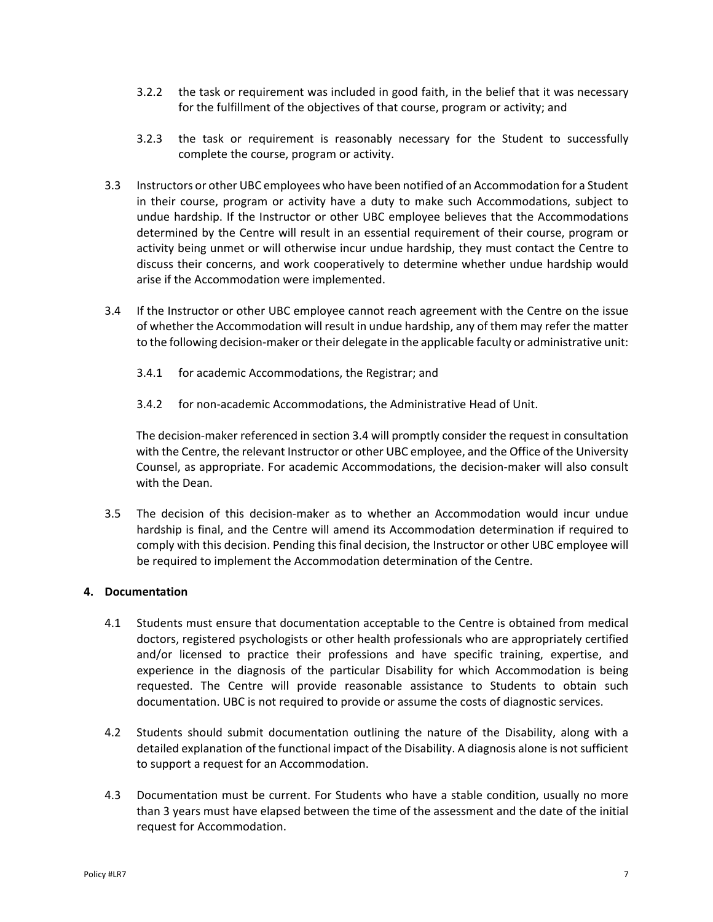- 3.2.2 the task or requirement was included in good faith, in the belief that it was necessary for the fulfillment of the objectives of that course, program or activity; and
- 3.2.3 the task or requirement is reasonably necessary for the Student to successfully complete the course, program or activity.
- 3.3 Instructors or other UBC employees who have been notified of an Accommodation for a Student in their course, program or activity have a duty to make such Accommodations, subject to undue hardship. If the Instructor or other UBC employee believes that the Accommodations determined by the Centre will result in an essential requirement of their course, program or activity being unmet or will otherwise incur undue hardship, they must contact the Centre to discuss their concerns, and work cooperatively to determine whether undue hardship would arise if the Accommodation were implemented.
- 3.4 If the Instructor or other UBC employee cannot reach agreement with the Centre on the issue of whether the Accommodation will result in undue hardship, any of them may refer the matter to the following decision-maker or their delegate in the applicable faculty or administrative unit:
	- 3.4.1 for academic Accommodations, the Registrar; and
	- 3.4.2 for non‐academic Accommodations, the Administrative Head of Unit.

The decision‐maker referenced in section 3.4 will promptly consider the request in consultation with the Centre, the relevant Instructor or other UBC employee, and the Office of the University Counsel, as appropriate. For academic Accommodations, the decision‐maker will also consult with the Dean.

3.5 The decision of this decision‐maker as to whether an Accommodation would incur undue hardship is final, and the Centre will amend its Accommodation determination if required to comply with this decision. Pending this final decision, the Instructor or other UBC employee will be required to implement the Accommodation determination of the Centre.

## **4. Documentation**

- 4.1 Students must ensure that documentation acceptable to the Centre is obtained from medical doctors, registered psychologists or other health professionals who are appropriately certified and/or licensed to practice their professions and have specific training, expertise, and experience in the diagnosis of the particular Disability for which Accommodation is being requested. The Centre will provide reasonable assistance to Students to obtain such documentation. UBC is not required to provide or assume the costs of diagnostic services.
- 4.2 Students should submit documentation outlining the nature of the Disability, along with a detailed explanation of the functional impact of the Disability. A diagnosis alone is not sufficient to support a request for an Accommodation.
- 4.3 Documentation must be current. For Students who have a stable condition, usually no more than 3 years must have elapsed between the time of the assessment and the date of the initial request for Accommodation.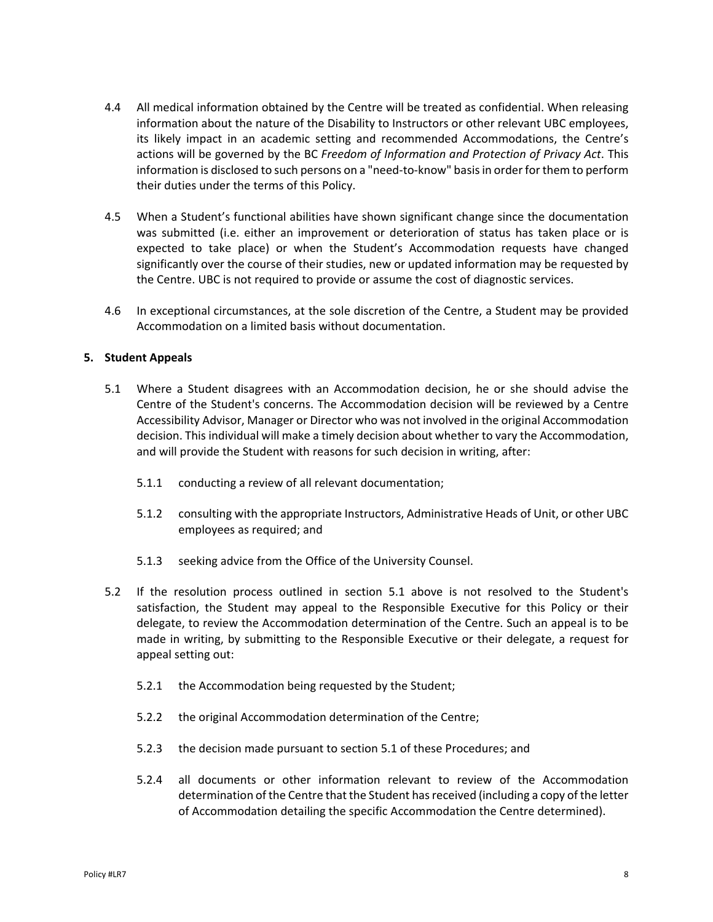- 4.4 All medical information obtained by the Centre will be treated as confidential. When releasing information about the nature of the Disability to Instructors or other relevant UBC employees, its likely impact in an academic setting and recommended Accommodations, the Centre's actions will be governed by the BC *Freedom of Information and Protection of Privacy Act*. This information is disclosed to such persons on a "need-to-know" basis in order for them to perform their duties under the terms of this Policy.
- 4.5 When a Student's functional abilities have shown significant change since the documentation was submitted (i.e. either an improvement or deterioration of status has taken place or is expected to take place) or when the Student's Accommodation requests have changed significantly over the course of their studies, new or updated information may be requested by the Centre. UBC is not required to provide or assume the cost of diagnostic services.
- 4.6 In exceptional circumstances, at the sole discretion of the Centre, a Student may be provided Accommodation on a limited basis without documentation.

## **5. Student Appeals**

- 5.1 Where a Student disagrees with an Accommodation decision, he or she should advise the Centre of the Student's concerns. The Accommodation decision will be reviewed by a Centre Accessibility Advisor, Manager or Director who was not involved in the original Accommodation decision. This individual will make a timely decision about whether to vary the Accommodation, and will provide the Student with reasons for such decision in writing, after:
	- 5.1.1 conducting a review of all relevant documentation;
	- 5.1.2 consulting with the appropriate Instructors, Administrative Heads of Unit, or other UBC employees as required; and
	- 5.1.3 seeking advice from the Office of the University Counsel.
- 5.2 If the resolution process outlined in section 5.1 above is not resolved to the Student's satisfaction, the Student may appeal to the Responsible Executive for this Policy or their delegate, to review the Accommodation determination of the Centre. Such an appeal is to be made in writing, by submitting to the Responsible Executive or their delegate, a request for appeal setting out:
	- 5.2.1 the Accommodation being requested by the Student;
	- 5.2.2 the original Accommodation determination of the Centre;
	- 5.2.3 the decision made pursuant to section 5.1 of these Procedures; and
	- 5.2.4 all documents or other information relevant to review of the Accommodation determination of the Centre that the Student has received (including a copy of the letter of Accommodation detailing the specific Accommodation the Centre determined).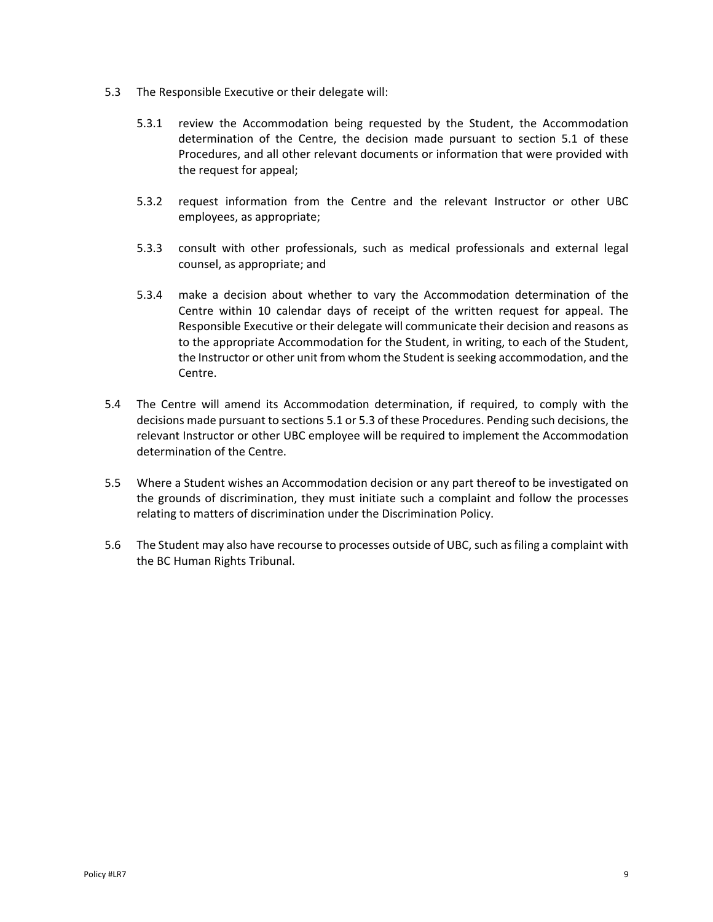- 5.3 The Responsible Executive or their delegate will:
	- 5.3.1 review the Accommodation being requested by the Student, the Accommodation determination of the Centre, the decision made pursuant to section 5.1 of these Procedures, and all other relevant documents or information that were provided with the request for appeal;
	- 5.3.2 request information from the Centre and the relevant Instructor or other UBC employees, as appropriate;
	- 5.3.3 consult with other professionals, such as medical professionals and external legal counsel, as appropriate; and
	- 5.3.4 make a decision about whether to vary the Accommodation determination of the Centre within 10 calendar days of receipt of the written request for appeal. The Responsible Executive or their delegate will communicate their decision and reasons as to the appropriate Accommodation for the Student, in writing, to each of the Student, the Instructor or other unit from whom the Student is seeking accommodation, and the Centre.
- 5.4 The Centre will amend its Accommodation determination, if required, to comply with the decisions made pursuant to sections 5.1 or 5.3 of these Procedures. Pending such decisions, the relevant Instructor or other UBC employee will be required to implement the Accommodation determination of the Centre.
- 5.5 Where a Student wishes an Accommodation decision or any part thereof to be investigated on the grounds of discrimination, they must initiate such a complaint and follow the processes relating to matters of discrimination under the Discrimination Policy.
- 5.6 The Student may also have recourse to processes outside of UBC, such as filing a complaint with the BC Human Rights Tribunal.